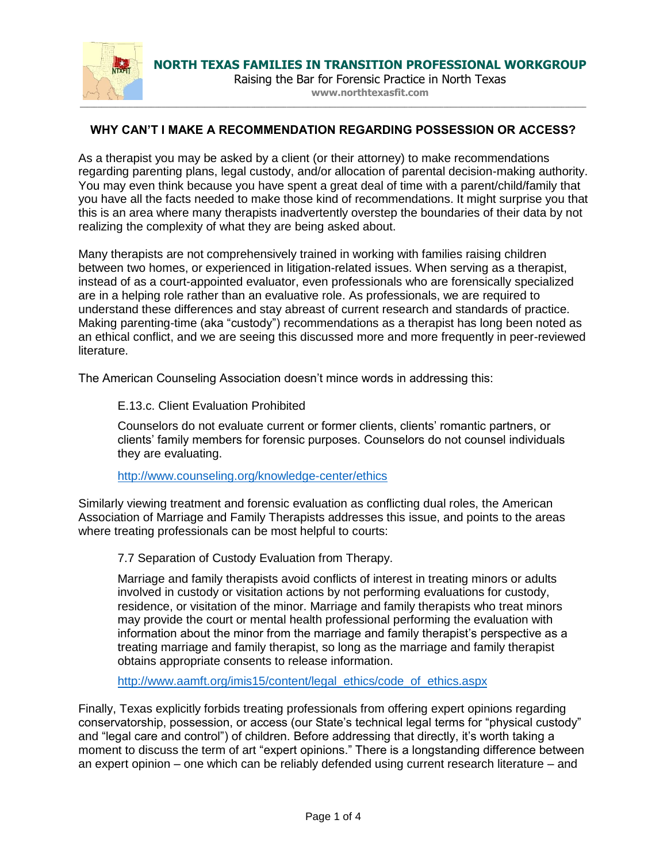

**NORTH TEXAS FAMILIES IN TRANSITION PROFESSIONAL WORKGROUP**

Raising the Bar for Forensic Practice in North Texas **www.northtexasfit.com**

## **WHY CAN'T I MAKE A RECOMMENDATION REGARDING POSSESSION OR ACCESS?**

As a therapist you may be asked by a client (or their attorney) to make recommendations regarding parenting plans, legal custody, and/or allocation of parental decision-making authority. You may even think because you have spent a great deal of time with a parent/child/family that you have all the facts needed to make those kind of recommendations. It might surprise you that this is an area where many therapists inadvertently overstep the boundaries of their data by not realizing the complexity of what they are being asked about.

Many therapists are not comprehensively trained in working with families raising children between two homes, or experienced in litigation-related issues. When serving as a therapist, instead of as a court-appointed evaluator, even professionals who are forensically specialized are in a helping role rather than an evaluative role. As professionals, we are required to understand these differences and stay abreast of current research and standards of practice. Making parenting-time (aka "custody") recommendations as a therapist has long been noted as an ethical conflict, and we are seeing this discussed more and more frequently in peer-reviewed literature.

The American Counseling Association doesn't mince words in addressing this:

E.13.c. Client Evaluation Prohibited

Counselors do not evaluate current or former clients, clients' romantic partners, or clients' family members for forensic purposes. Counselors do not counsel individuals they are evaluating.

<http://www.counseling.org/knowledge-center/ethics>

Similarly viewing treatment and forensic evaluation as conflicting dual roles, the American Association of Marriage and Family Therapists addresses this issue, and points to the areas where treating professionals can be most helpful to courts:

7.7 Separation of Custody Evaluation from Therapy.

Marriage and family therapists avoid conflicts of interest in treating minors or adults involved in custody or visitation actions by not performing evaluations for custody, residence, or visitation of the minor. Marriage and family therapists who treat minors may provide the court or mental health professional performing the evaluation with information about the minor from the marriage and family therapist's perspective as a treating marriage and family therapist, so long as the marriage and family therapist obtains appropriate consents to release information.

[http://www.aamft.org/imis15/content/legal\\_ethics/code\\_of\\_ethics.aspx](http://www.aamft.org/imis15/content/legal_ethics/code_of_ethics.aspx)

Finally, Texas explicitly forbids treating professionals from offering expert opinions regarding conservatorship, possession, or access (our State's technical legal terms for "physical custody" and "legal care and control") of children. Before addressing that directly, it's worth taking a moment to discuss the term of art "expert opinions." There is a longstanding difference between an expert opinion – one which can be reliably defended using current research literature – and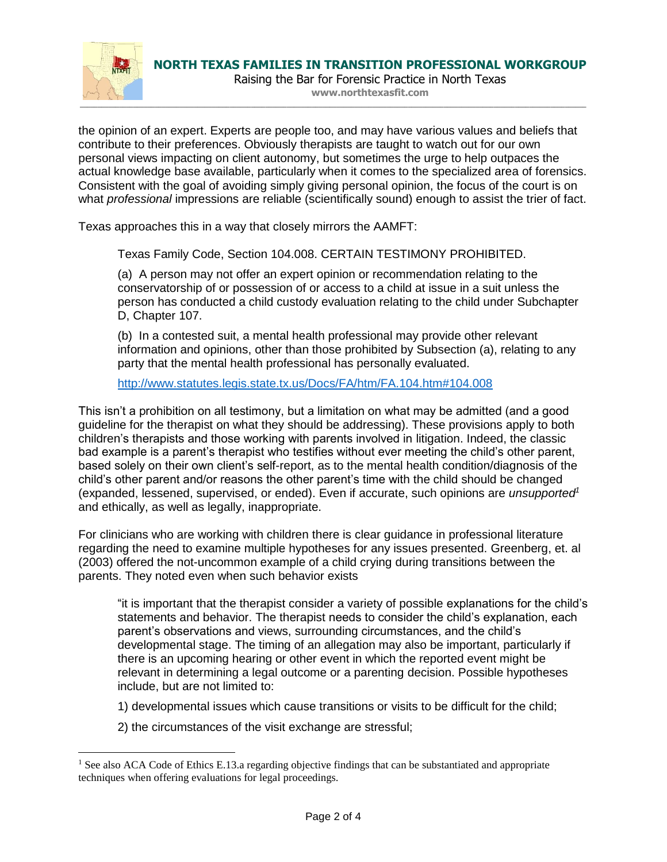

 $\overline{a}$ 

Raising the Bar for Forensic Practice in North Texas **www.northtexasfit.com**

the opinion of an expert. Experts are people too, and may have various values and beliefs that contribute to their preferences. Obviously therapists are taught to watch out for our own personal views impacting on client autonomy, but sometimes the urge to help outpaces the actual knowledge base available, particularly when it comes to the specialized area of forensics. Consistent with the goal of avoiding simply giving personal opinion, the focus of the court is on what *professional* impressions are reliable (scientifically sound) enough to assist the trier of fact.

Texas approaches this in a way that closely mirrors the AAMFT:

Texas Family Code, Section 104.008. CERTAIN TESTIMONY PROHIBITED.

(a) A person may not offer an expert opinion or recommendation relating to the conservatorship of or possession of or access to a child at issue in a suit unless the person has conducted a child custody evaluation relating to the child under Subchapter D, Chapter 107.

(b) In a contested suit, a mental health professional may provide other relevant information and opinions, other than those prohibited by Subsection (a), relating to any party that the mental health professional has personally evaluated.

<http://www.statutes.legis.state.tx.us/Docs/FA/htm/FA.104.htm#104.008>

This isn't a prohibition on all testimony, but a limitation on what may be admitted (and a good guideline for the therapist on what they should be addressing). These provisions apply to both children's therapists and those working with parents involved in litigation. Indeed, the classic bad example is a parent's therapist who testifies without ever meeting the child's other parent, based solely on their own client's self-report, as to the mental health condition/diagnosis of the child's other parent and/or reasons the other parent's time with the child should be changed (expanded, lessened, supervised, or ended). Even if accurate, such opinions are *unsupported<sup>1</sup>* and ethically, as well as legally, inappropriate.

For clinicians who are working with children there is clear guidance in professional literature regarding the need to examine multiple hypotheses for any issues presented. Greenberg, et. al (2003) offered the not-uncommon example of a child crying during transitions between the parents. They noted even when such behavior exists

"it is important that the therapist consider a variety of possible explanations for the child's statements and behavior. The therapist needs to consider the child's explanation, each parent's observations and views, surrounding circumstances, and the child's developmental stage. The timing of an allegation may also be important, particularly if there is an upcoming hearing or other event in which the reported event might be relevant in determining a legal outcome or a parenting decision. Possible hypotheses include, but are not limited to:

1) developmental issues which cause transitions or visits to be difficult for the child;

2) the circumstances of the visit exchange are stressful;

<sup>&</sup>lt;sup>1</sup> See also ACA Code of Ethics E.13.a regarding objective findings that can be substantiated and appropriate techniques when offering evaluations for legal proceedings.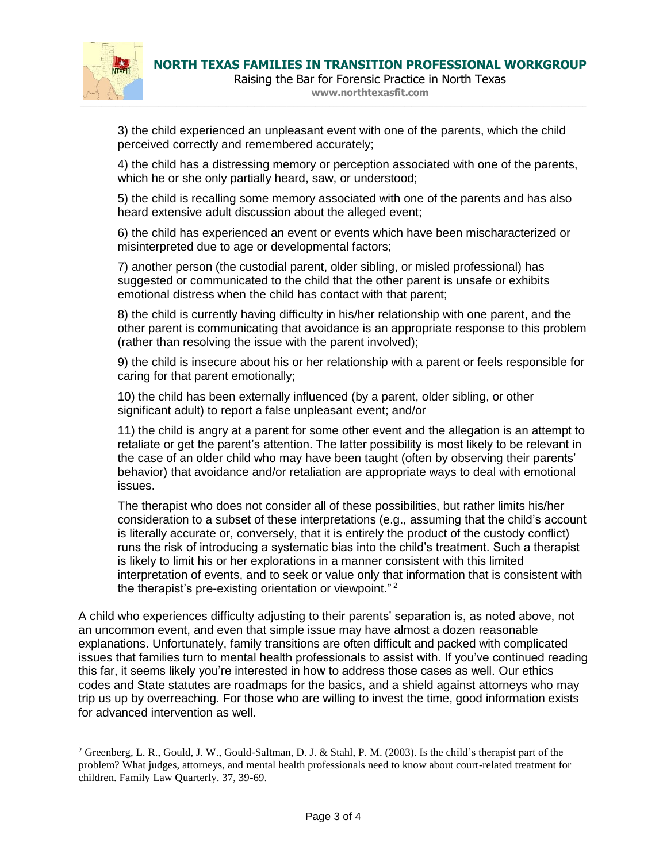

 $\overline{a}$ 

**www.northtexasfit.com**

3) the child experienced an unpleasant event with one of the parents, which the child perceived correctly and remembered accurately;

4) the child has a distressing memory or perception associated with one of the parents, which he or she only partially heard, saw, or understood;

5) the child is recalling some memory associated with one of the parents and has also heard extensive adult discussion about the alleged event;

6) the child has experienced an event or events which have been mischaracterized or misinterpreted due to age or developmental factors;

7) another person (the custodial parent, older sibling, or misled professional) has suggested or communicated to the child that the other parent is unsafe or exhibits emotional distress when the child has contact with that parent;

8) the child is currently having difficulty in his/her relationship with one parent, and the other parent is communicating that avoidance is an appropriate response to this problem (rather than resolving the issue with the parent involved);

9) the child is insecure about his or her relationship with a parent or feels responsible for caring for that parent emotionally;

10) the child has been externally influenced (by a parent, older sibling, or other significant adult) to report a false unpleasant event; and/or

11) the child is angry at a parent for some other event and the allegation is an attempt to retaliate or get the parent's attention. The latter possibility is most likely to be relevant in the case of an older child who may have been taught (often by observing their parents' behavior) that avoidance and/or retaliation are appropriate ways to deal with emotional issues.

The therapist who does not consider all of these possibilities, but rather limits his/her consideration to a subset of these interpretations (e.g., assuming that the child's account is literally accurate or, conversely, that it is entirely the product of the custody conflict) runs the risk of introducing a systematic bias into the child's treatment. Such a therapist is likely to limit his or her explorations in a manner consistent with this limited interpretation of events, and to seek or value only that information that is consistent with the therapist's pre-existing orientation or viewpoint."<sup>2</sup>

A child who experiences difficulty adjusting to their parents' separation is, as noted above, not an uncommon event, and even that simple issue may have almost a dozen reasonable explanations. Unfortunately, family transitions are often difficult and packed with complicated issues that families turn to mental health professionals to assist with. If you've continued reading this far, it seems likely you're interested in how to address those cases as well. Our ethics codes and State statutes are roadmaps for the basics, and a shield against attorneys who may trip us up by overreaching. For those who are willing to invest the time, good information exists for advanced intervention as well.

<sup>&</sup>lt;sup>2</sup> Greenberg, L. R., Gould, J. W., Gould-Saltman, D. J. & Stahl, P. M. (2003). Is the child's therapist part of the problem? What judges, attorneys, and mental health professionals need to know about court-related treatment for children. Family Law Quarterly. 37, 39-69.